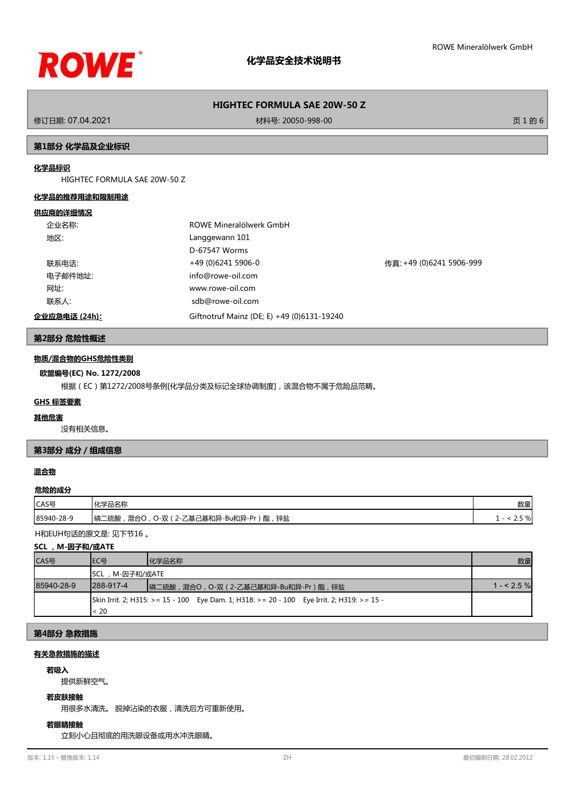

修订日期: 07.04.2021 材料号: 20050-998-00 页 1 的 6

## **第1部分 化学品及企业标识**

## **化学品标识**

HIGHTEC FORMULA SAE 20W-50 Z

#### **化学品的推荐用途和限制用途**

#### **供应商的详细情况**

| 企业名称:         | ROWE Mineralölwerk GmbH                    |                          |
|---------------|--------------------------------------------|--------------------------|
| 地区:           | Langgewann 101                             |                          |
|               | D-67547 Worms                              |                          |
| 联系电话:         | +49 (0)6241 5906-0                         | 传真: +49 (0)6241 5906-999 |
| 电子邮件地址:       | info@rowe-oil.com                          |                          |
| 网址:           | www.rowe-oil.com                           |                          |
| 联系人:          | sdb@rowe-oil.com                           |                          |
| 企业应急电话 (24h): | Giftnotruf Mainz (DE; E) +49 (0)6131-19240 |                          |

## **第2部分 危险性概述**

#### **物质/混合物的GHS危险性类别**

#### **欧盟编号(EC) No. 1272/2008**

根据(EC)第1272/2008号条例[化学品分类及标记全球协调制度],该混合物不属于危险品范畴。

### **GHS 标签要素**

#### **其他危害**

没有相关信息。

## **第3部分 成分/组成信息**

## **混合物**

#### **危险的成分**

| CAS号       | ・ル当ロクた<br>血白似                                                                            | 数量          |
|------------|------------------------------------------------------------------------------------------|-------------|
| 85940-28-9 | 锌盐<br>酯<br>∕ ₩<br>「磷二<br>)-双<br>二硫酸<br>混合<br>$\prime$ - $\prime$<br>~<br><u>_</u><br>— · | 70  <br>ر . |

H和EUH句话的原文是: 见下节16 。

## **SCL ,M-因子和/或ATE**

| CAS号       | IEC목           | 化学品名称                                                                                      | 数量          |
|------------|----------------|--------------------------------------------------------------------------------------------|-------------|
|            | SCL,M-因子和/或ATE |                                                                                            |             |
| 85940-28-9 | 1288-917-4     | ┃磷二硫酸,混合○, ○-双(2-乙基己基和异-Bu和异-Pr)酯,锌盐                                                       | $1 - 2.5$ % |
|            |                | Skin Irrit. 2; H315: >= 15 - 100 Eye Dam. 1; H318: >= 20 - 100 Eye Irrit. 2; H319: >= 15 - |             |
|            | < 20           |                                                                                            |             |

## **第4部分 急救措施**

#### **有关急救措施的描述**

#### **若吸入**

提供新鲜空气。

## **若皮肤接触**

用很多水清洗。 脱掉沾染的衣服,清洗后方可重新使用。

#### **若眼睛接触**

立刻小心且彻底的用洗眼设备或用水冲洗眼睛。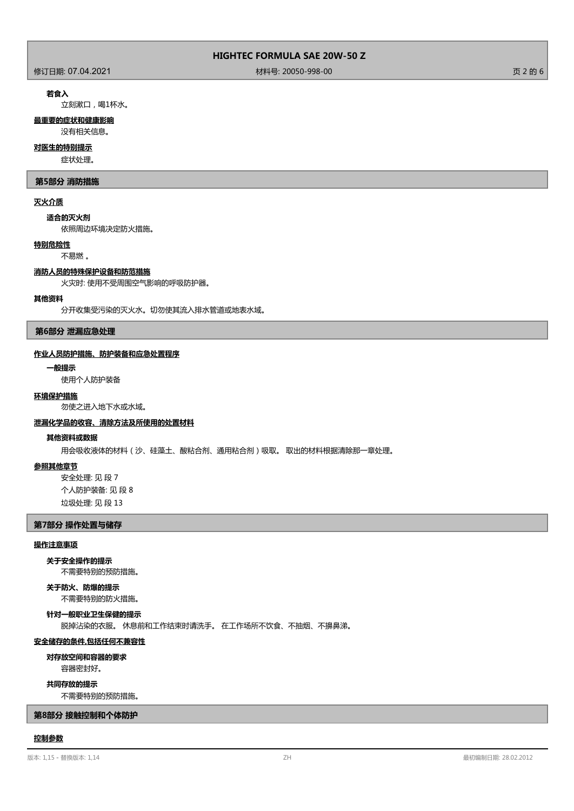作为<br>1999年 - 1999年 - 1999年 - 1999年 - 1999年 - 1999年 - 1999年 - 1999年 - 1999年 - 1999年 - 1999年 - 1999年 - 1999年 - 1999年<br>1999年 - 1999年 - 1999年 - 1999年 - 1999年 - 1999年 - 1999年 - 1999年 - 1999年 - 1999年 - 1999年 - 1999年 - 1999年 - 199

#### **若食入**

立刻漱口,喝1杯水。

## **最重要的症状和健康影响**

没有相关信息。

## **对医生的特别提示**

症状处理。

#### **第5部分 消防措施**

#### **灭火介质**

**适合的灭火剂**

依照周边环境决定防火措施。

## **特别危险性**

不易燃 。

### **消防人员的特殊保护设备和防范措施**

火灾时: 使用不受周围空气影响的呼吸防护器。

## **其他资料**

分开收集受污染的灭火水。切勿使其流入排水管道或地表水域。

### **第6部分 泄漏应急处理**

#### **作业人员防护措施、防护装备和应急处置程序**

**一般提示**

使用个人防护装备

#### **环境保护措施**

勿使之进入地下水或水域。

#### **泄漏化学品的收容、清除方法及所使用的处置材料**

#### **其他资料或数据**

用会吸收液体的材料(沙、硅藻土、酸粘合剂、通用粘合剂)吸取。 取出的材料根据清除那一章处理。

## **参照其他章节**

安全处理: 见 段 7 个人防护装备: 见 段 8 垃圾处理: 见 段 13

## **第7部分 操作处置与储存**

## **操作注意事项**

不需要特别的预防措施。 **关于安全操作的提示**

## **关于防火、防爆的提示**

不需要特别的防火措施。

## 脱掉沾染的衣服。 休息前和工作结束时请洗手。 在工作场所不饮食、不抽烟、不擤鼻涕。 **针对一般职业卫生保健的提示**

### **安全储存的条件,包括任何不兼容性**

**对存放空间和容器的要求**

容器密封好。

## **共同存放的提示**

不需要特别的预防措施。

## **第8部分 接触控制和个体防护**

#### **控制参数**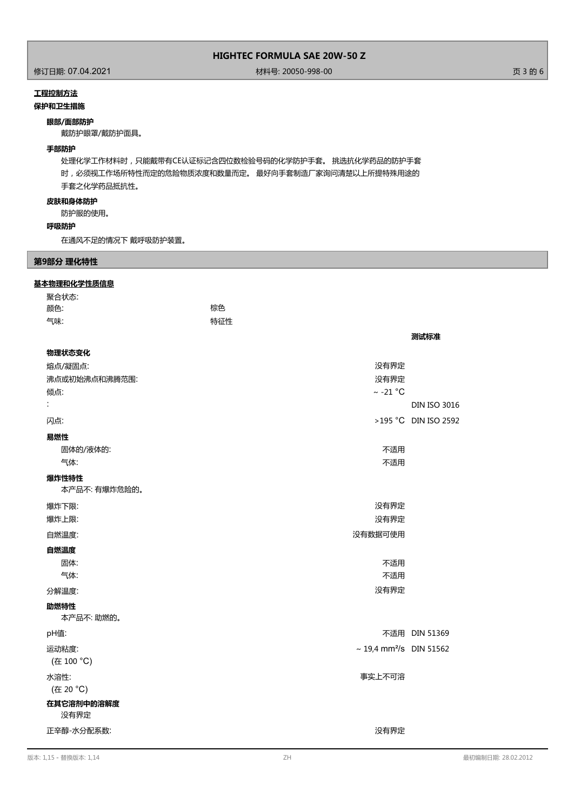修订日期: 07.04.2021 材料号: 20050-998-00 页 3 的 6

**测试标准**

## **工程控制方法**

## **保护和卫生措施**

## **眼部/面部防护**

戴防护眼罩/戴防护面具。

## **手部防护**

处理化学工作材料时,只能戴带有CE认证标记含四位数检验号码的化学防护手套。 挑选抗化学药品的防护手套 时,必须视工作场所特性而定的危险物质浓度和数量而定。 最好向手套制造厂家询问清楚以上所提特殊用途的 手套之化学药品抵抗性。

## **皮肤和身体防护**

防护服的使用。

### **呼吸防护**

在通风不足的情况下 戴呼吸防护装置。

## **第9部分 理化特性**

#### **基本物理和化学性质信息**

| 聚合状态: |     |
|-------|-----|
| 颜色:   | 棕色  |
| 气味:   | 特征性 |

| 物理状态变化                |                                          |                      |
|-----------------------|------------------------------------------|----------------------|
| 熔点/凝固点:               | 没有界定                                     |                      |
| 沸点或初始沸点和沸腾范围:         | 没有界定                                     |                      |
| 倾点:                   | $\sim$ -21 °C                            |                      |
| t                     |                                          | <b>DIN ISO 3016</b>  |
| 闪点:                   |                                          | >195 °C DIN ISO 2592 |
| 易燃性                   |                                          |                      |
| 固体的/液体的:              | 不适用                                      |                      |
| 气体:                   | 不适用                                      |                      |
| 爆炸性特性<br>本产品不:有爆炸危险的。 |                                          |                      |
| 爆炸下限:                 | 没有界定                                     |                      |
| 爆炸上限:                 | 没有界定                                     |                      |
| 自燃温度:                 | 没有数据可使用                                  |                      |
| 自燃温度                  |                                          |                      |
| 固体:                   | 不适用                                      |                      |
| 气体:                   | 不适用                                      |                      |
| 分解温度:                 | 没有界定                                     |                      |
| 助燃特性<br>本产品不:助燃的。     |                                          |                      |
| pH值:                  |                                          | 不适用 DIN 51369        |
| 运动粘度:                 | $\sim$ 19,4 mm <sup>2</sup> /s DIN 51562 |                      |
| (在 100 °C)            |                                          |                      |
| 水溶性:<br>(在 20 °C)     | 事实上不可溶                                   |                      |
| 在其它溶剂中的溶解度<br>没有界定    |                                          |                      |
| 正辛醇-水分配系数:            | 没有界定                                     |                      |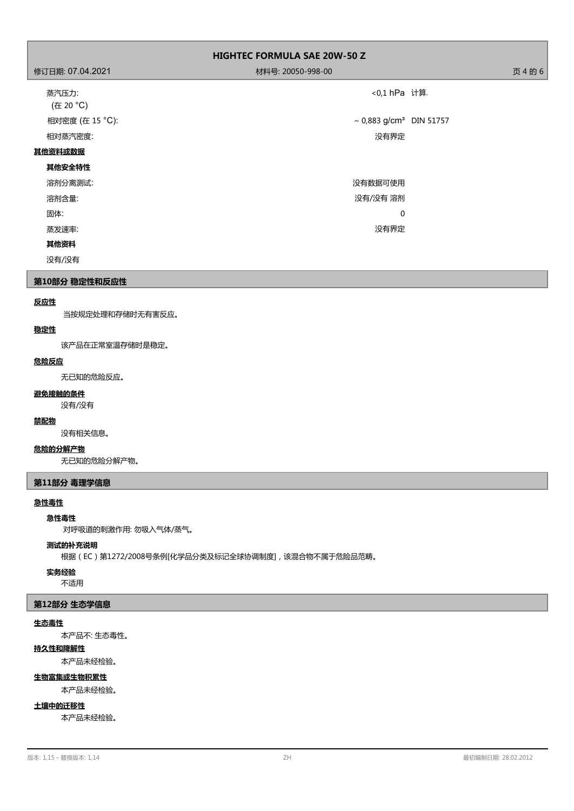| <b>HIGHTEC FORMULA SAE 20W-50 Z</b> |                                     |         |
|-------------------------------------|-------------------------------------|---------|
| 修订日期: 07.04.2021                    | 材料号: 20050-998-00                   | 页 4 的 6 |
| 蒸汽压力:<br>(在 20 °C)                  | <0,1 hPa 计算.                        |         |
| 相对密度 (在 15 °C):                     | ~ 0,883 g/cm <sup>3</sup> DIN 51757 |         |
| 相对蒸汽密度:                             | 没有界定                                |         |
| 其他资料或数据                             |                                     |         |
| 其他安全特性                              |                                     |         |
| 溶剂分离测试:                             | 没有数据可使用                             |         |
| 溶剂含量:                               | 没有/没有 溶剂                            |         |
| 固体:                                 | $\mathbf 0$                         |         |
| 蒸发速率:                               | 没有界定                                |         |
| 其他资料                                |                                     |         |
| 没有/没有                               |                                     |         |

## **第10部分 稳定性和反应性**

## **反应性**

当按规定处理和存储时无有害反应。

## **稳定性**

该产品在正常室温存储时是稳定。

## **危险反应**

无已知的危险反应。

## **避免接触的条件**

没有/没有

## **禁配物**

没有相关信息。

## **危险的分解产物**

无已知的危险分解产物。

## **第11部分 毒理学信息**

## **急性毒性**

## **急性毒性**

对呼吸道的刺激作用: 勿吸入气体/蒸气。

### **测试的补充说明**

根据(EC)第1272/2008号条例[化学品分类及标记全球协调制度],该混合物不属于危险品范畴。

# **实务经验**

不适用

## **第12部分 生态学信息**

## **生态毒性**

本产品不: 生态毒性。

# **持久性和降解性**

本产品未经检验。

# **生物富集或生物积累性**

本产品未经检验。

## **土壤中的迁移性**

本产品未经检验。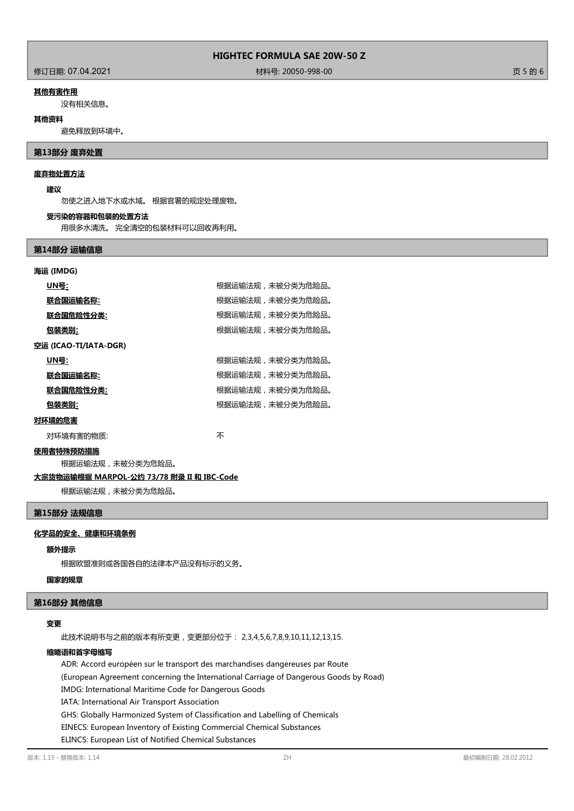修订日期: 07.04.2021 材料号: 20050-998-00 页 5 的 6

### **其他有害作用**

没有相关信息。

### **其他资料**

避免释放到环境中。

## **第13部分 废弃处置**

## **废弃物处置方法**

#### **建议**

勿使之进入地下水或水域。 根据官署的规定处理废物。

#### **受污染的容器和包装的处置方法**

用很多水清洗。 完全清空的包装材料可以回收再利用。

### **第14部分 运输信息**

# **海运 (IMDG) UN号:** 根据运输法规,未被分类为危险品。 及后的,我们在**输入机**;<br>《法》中书 根据运输法规,未被分类为危险品。 **联合国危险性分类:** 根据运输法规,未被分类为危险品。 **包装类别:** 网络卡尔卡尔卡尔卡尔卡尔卡尔卡尔特尔特尔特尔特尔特尔特尔特尔特尔特尔特尔特尔特 **空运 (ICAO-TI/IATA-DGR) UN号: UN号: WEDFING THE PERITH THE PROPERTIES REPORT** RELATIONS RELATIONS RELATIONS RELATIONS RELATIONS RELATIONS RELATIONS RELATIONS RELATIONS RELATIONS RELATIONS RELATIONS RELATIONS RELATIONS RELATIONS RELATIONS RELA **联合国运输名称:** 根据运输法规,未被分类为危险品。 所以,我们的工作分类<br>第一节 根据运输法规,未被分类为危险品。 包装类别: **包装类别: インチン インチン おおし 根据运输法规,未被分类为危险品。 对环境的危害** 对环境有害的物质: カランド インタン かいしゃ 不

#### **使用者特殊预防措施**

根据运输法规,未被分类为危险品。

## **大宗货物运输根据 MARPOL-公约 73/78 附录 II 和 IBC-Code**

根据运输法规,未被分类为危险品。

#### **第15部分 法规信息**

#### **化学品的安全、健康和环境条例**

#### **额外提示**

根据欧盟准则或各国各自的法律本产品没有标示的义务。

## **国家的规章**

#### **第16部分 其他信息**

## **变更**

此技术说明书与之前的版本有所变更,变更部分位于: 2,3,4,5,6,7,8,9,10,11,12,13,15.

## **缩略语和首字母缩写**

ADR: Accord européen sur le transport des marchandises dangereuses par Route (European Agreement concerning the International Carriage of Dangerous Goods by Road) IMDG: International Maritime Code for Dangerous Goods IATA: International Air Transport Association GHS: Globally Harmonized System of Classification and Labelling of Chemicals EINECS: European Inventory of Existing Commercial Chemical Substances ELINCS: European List of Notified Chemical Substances